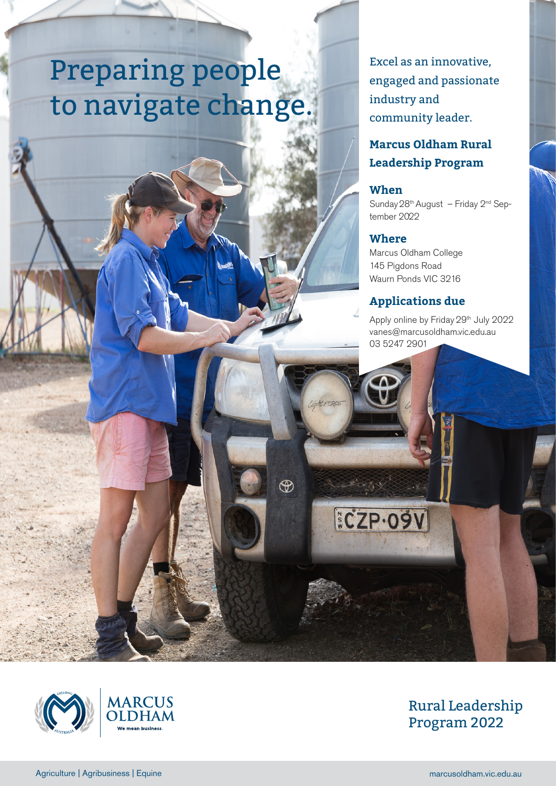# Preparing people to navigate change.

Excel as an innovative, engaged and passionate industry and community leader.

# **Marcus Oldham Rural Leadership Program**

## **When**

Sunday  $28<sup>th</sup>$  August – Friday  $2<sup>nd</sup>$  September 2022

### **Where**

**ECZP.09V** 

 $\circledast$ 

Marcus Oldham College 145 Pigdons Road Waurn Ponds VIC 3216

# **Applications due**

Apply online by Friday 29<sup>th</sup> July 2022 vanes@marcusoldham.vic.edu.au 03 5247 2901





# Rural Leadership Program 2022